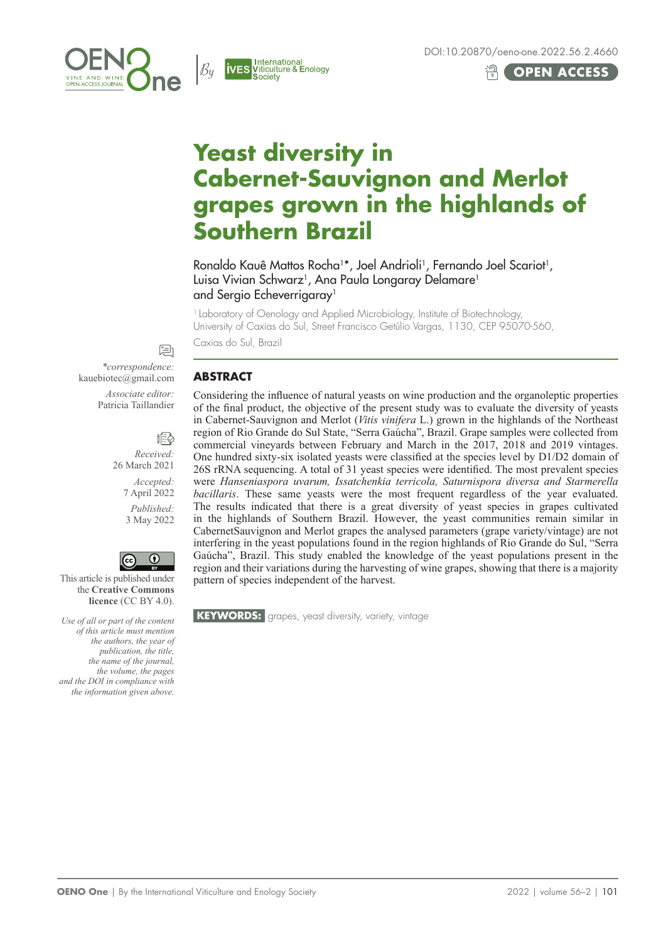





# **Yeast diversity in Cabernet‑Sauvignon and Merlot grapes grown in the highlands of Southern Brazil**

Ronaldo Kauê Mattos Rocha<sup>1\*</sup>, Joel Andrioli<sup>1</sup>, Fernando Joel Scariot<sup>1</sup>, Luisa Vivian Schwarz<sup>1</sup>, Ana Paula Longaray Delamare<sup>1</sup> and Sergio Echeverrigaray<sup>1</sup>

<sup>1</sup> Laboratory of Oenology and Applied Microbiology, Institute of Biotechnology, University of Caxias do Sul, Street Francisco Getúlio Vargas, 1130, CEP 95070-560,

Caxias do Sul, Brazil

### **ABSTRACT**

Considering the influence of natural yeasts on wine production and the organoleptic properties of the final product, the objective of the present study was to evaluate the diversity of yeasts in Cabernet-Sauvignon and Merlot (*Vitis vinifera* L.) grown in the highlands of the Northeast region of Rio Grande do Sul State, "Serra Gaúcha", Brazil. Grape samples were collected from commercial vineyards between February and March in the 2017, 2018 and 2019 vintages. One hundred sixty-six isolated yeasts were classified at the species level by D1/D2 domain of 26S rRNA sequencing. A total of 31 yeast species were identified. The most prevalent species were *Hanseniaspora uvarum, Issatchenkia terricola, Saturnispora diversa and Starmerella bacillaris*. These same yeasts were the most frequent regardless of the year evaluated. The results indicated that there is a great diversity of yeast species in grapes cultivated in the highlands of Southern Brazil. However, the yeast communities remain similar in CabernetSauvignon and Merlot grapes the analysed parameters (grape variety/vintage) are not interfering in the yeast populations found in the region highlands of Rio Grande do Sul, "Serra Gaúcha", Brazil. This study enabled the knowledge of the yeast populations present in the region and their variations during the harvesting of wine grapes, showing that there is a majority pattern of species independent of the harvest.

**KEYWORDS:** grapes, yeast diversity, variety, vintage

*\*correspondence:* kauebiotec@gmail.com *Associate editor:* Patricia Taillandier

> *Received:*  26 March 2021 *Accepted:*

回

作

7 April 2022 *Published:*  3 May 2022



This article is published under the **Creative Commons licence** (CC BY 4.0).

*Use of all or part of the content of this article must mention the authors, the year of publication, the title, the name of the journal, the volume, the pages and the DOI in compliance with the information given above.*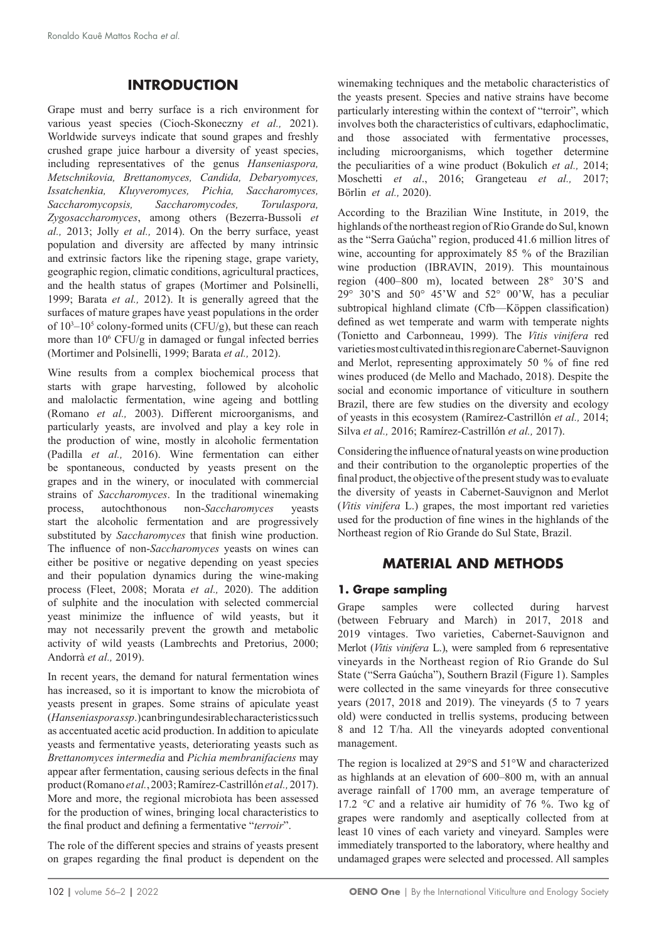## **INTRODUCTION**

Grape must and berry surface is a rich environment for various yeast species (Cioch-Skoneczny *et al.,* 2021). Worldwide surveys indicate that sound grapes and freshly crushed grape juice harbour a diversity of yeast species, including representatives of the genus *Hanseniaspora, Metschnikovia, Brettanomyces, Candida, Debaryomyces, Issatchenkia, Kluyveromyces, Pichia, Saccharomyces, Saccharomycopsis, Saccharomycodes, Torulaspora, Zygosaccharomyces*, among others (Bezerra-Bussoli *et al.,* 2013; Jolly *et al.,* 2014). On the berry surface, yeast population and diversity are affected by many intrinsic and extrinsic factors like the ripening stage, grape variety, geographic region, climatic conditions, agricultural practices, and the health status of grapes (Mortimer and Polsinelli, 1999; Barata *et al.,* 2012). It is generally agreed that the surfaces of mature grapes have yeast populations in the order of  $10<sup>3</sup>-10<sup>5</sup>$  colony-formed units (CFU/g), but these can reach more than 10<sup>6</sup> CFU/g in damaged or fungal infected berries (Mortimer and Polsinelli, 1999; Barata *et al.,* 2012).

Wine results from a complex biochemical process that starts with grape harvesting, followed by alcoholic and malolactic fermentation, wine ageing and bottling (Romano *et al.,* 2003). Different microorganisms, and particularly yeasts, are involved and play a key role in the production of wine, mostly in alcoholic fermentation (Padilla *et al.,* 2016). Wine fermentation can either be spontaneous, conducted by yeasts present on the grapes and in the winery, or inoculated with commercial strains of *Saccharomyces*. In the traditional winemaking process, autochthonous non-*Saccharomyces* yeasts start the alcoholic fermentation and are progressively substituted by *Saccharomyces* that finish wine production. The influence of non-*Saccharomyces* yeasts on wines can either be positive or negative depending on yeast species and their population dynamics during the wine‑making process (Fleet, 2008; Morata *et al.,* 2020). The addition of sulphite and the inoculation with selected commercial yeast minimize the influence of wild yeasts, but it may not necessarily prevent the growth and metabolic activity of wild yeasts (Lambrechts and Pretorius, 2000; Andorrà *et al.,* 2019).

In recent years, the demand for natural fermentation wines has increased, so it is important to know the microbiota of yeasts present in grapes. Some strains of apiculate yeast (*Hanseniasporassp*.) can bring undesirable characteristics such as accentuated acetic acid production. In addition to apiculate yeasts and fermentative yeasts, deteriorating yeasts such as *Brettanomyces intermedia* and *Pichia membranifaciens* may appear after fermentation, causing serious defects in the final product (Romano *et al.*, 2003; Ramírez-Castrillón *et al.,* 2017). More and more, the regional microbiota has been assessed for the production of wines, bringing local characteristics to the final product and defining a fermentative "*terroir*".

The role of the different species and strains of yeasts present on grapes regarding the final product is dependent on the winemaking techniques and the metabolic characteristics of the yeasts present. Species and native strains have become particularly interesting within the context of "terroir", which involves both the characteristics of cultivars, edaphoclimatic, and those associated with fermentative processes, including microorganisms, which together determine the peculiarities of a wine product (Bokulich *et al.,* 2014; Moschetti *et al*., 2016; Grangeteau *et al.,* 2017; Börlin *et al.,* 2020).

According to the Brazilian Wine Institute, in 2019, the highlands of the northeast region of Rio Grande do Sul, known as the "Serra Gaúcha" region, produced 41.6 million litres of wine, accounting for approximately 85 % of the Brazilian wine production (IBRAVIN, 2019). This mountainous region (400–800 m), located between 28° 30'S and  $29^{\circ}$  30'S and 50° 45'W and 52° 00'W, has a peculiar subtropical highland climate (Cfb—Köppen classification) defined as wet temperate and warm with temperate nights (Tonietto and Carbonneau, 1999). The *Vitis vinifera* red varieties most cultivated in this region are Cabernet‑Sauvignon and Merlot, representing approximately 50 % of fine red wines produced (de Mello and Machado, 2018). Despite the social and economic importance of viticulture in southern Brazil, there are few studies on the diversity and ecology of yeasts in this ecosystem (Ramírez-Castrillón *et al.,* 2014; Silva *et al.,* 2016; Ramírez-Castrillón *et al.,* 2017).

Considering the influence of natural yeasts on wine production and their contribution to the organoleptic properties of the final product, the objective of the present study was to evaluate the diversity of yeasts in Cabernet-Sauvignon and Merlot (*Vitis vinifera* L.) grapes, the most important red varieties used for the production of fine wines in the highlands of the Northeast region of Rio Grande do Sul State, Brazil.

# **MATERIAL AND METHODS**

#### **1. Grape sampling**

Grape samples were collected during harvest (between February and March) in 2017, 2018 and 2019 vintages. Two varieties, Cabernet-Sauvignon and Merlot (*Vitis vinifera* L.), were sampled from 6 representative vineyards in the Northeast region of Rio Grande do Sul State ("Serra Gaúcha"), Southern Brazil (Figure 1). Samples were collected in the same vineyards for three consecutive years (2017, 2018 and 2019). The vineyards (5 to 7 years old) were conducted in trellis systems, producing between 8 and 12 T/ha. All the vineyards adopted conventional management.

The region is localized at 29°S and 51°W and characterized as highlands at an elevation of 600–800 m, with an annual average rainfall of 1700 mm, an average temperature of 17.2 *°C* and a relative air humidity of 76 %. Two kg of grapes were randomly and aseptically collected from at least 10 vines of each variety and vineyard. Samples were immediately transported to the laboratory, where healthy and undamaged grapes were selected and processed. All samples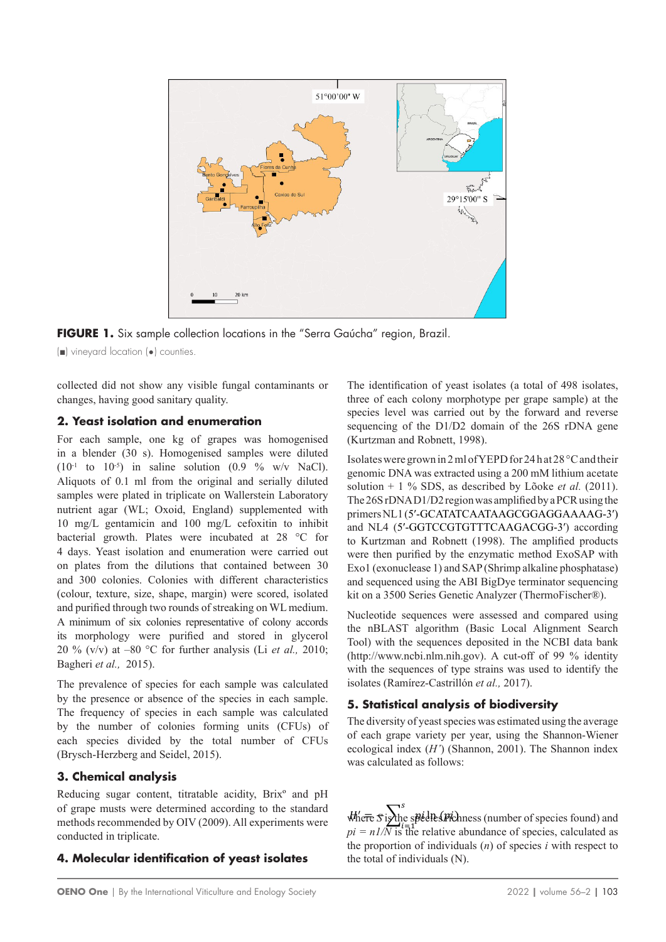

**FIGURE 1.** Six sample collection locations in the "Serra Gaúcha" region, Brazil.

(■) vineyard location (•) counties.

collected did not show any visible fungal contaminants or changes, having good sanitary quality.

#### **2. Yeast isolation and enumeration**

For each sample, one kg of grapes was homogenised in a blender (30 s). Homogenised samples were diluted  $(10^{-1}$  to  $10^{-5}$ ) in saline solution  $(0.9 \%$  w/v NaCl). Aliquots of 0.1 ml from the original and serially diluted samples were plated in triplicate on Wallerstein Laboratory nutrient agar (WL; Oxoid, England) supplemented with 10 mg/L gentamicin and 100 mg/L cefoxitin to inhibit bacterial growth. Plates were incubated at 28 °C for 4 days. Yeast isolation and enumeration were carried out on plates from the dilutions that contained between 30 and 300 colonies. Colonies with different characteristics (colour, texture, size, shape, margin) were scored, isolated and purified through two rounds of streaking on WL medium. A minimum of six colonies representative of colony accords its morphology were purified and stored in glycerol 20 % (v/v) at –80 °C for further analysis (Li *et al.,* 2010; Bagheri *et al.,* 2015).

The prevalence of species for each sample was calculated by the presence or absence of the species in each sample. The frequency of species in each sample was calculated by the number of colonies forming units (CFUs) of each species divided by the total number of CFUs (Brysch-Herzberg and Seidel, 2015).

#### **3. Chemical analysis**

Reducing sugar content, titratable acidity, Brixº and pH of grape musts were determined according to the standard methods recommended by OIV (2009). All experiments were conducted in triplicate.

#### **4. Molecular identification of yeast isolates**

The identification of yeast isolates (a total of 498 isolates, three of each colony morphotype per grape sample) at the species level was carried out by the forward and reverse sequencing of the D1/D2 domain of the 26S rDNA gene (Kurtzman and Robnett, 1998).

Isolates were grown in 2ml of YEPD for 24 h at 28 °C and their genomic DNA was extracted using a 200 mM lithium acetate solution + 1 % SDS, as described by Lõoke *et al.* (2011). The 26S rDNA D1/D2 region was amplified by a PCR using the primers NL1 (5′-GCATATCAATAAGCGGAGGAAAAG-3′) and NL4 (5′-GGTCCGTGTTTCAAGACGG-3′) according to Kurtzman and Robnett (1998). The amplified products were then purified by the enzymatic method ExoSAP with Exo1 (exonuclease 1) and SAP (Shrimp alkaline phosphatase) and sequenced using the ABI BigDye terminator sequencing kit on a 3500 Series Genetic Analyzer (ThermoFischer®).

Nucleotide sequences were assessed and compared using the nBLAST algorithm (Basic Local Alignment Search Tool) with the sequences deposited in the NCBI data bank ([http://www.ncbi.nlm.nih.gov](http://www.ncbi.nlm.nih.gov/)). A cut-off of 99 % identity with the sequences of type strains was used to identify the isolates (Ramírez-Castrillón *et al.,* 2017).

### **5. Statistical analysis of biodiversity**

The diversity of yeast species was estimated using the average of each grape variety per year, using the Shannon‑Wiener ecological index (*H'*) (Shannon, 2001). The Shannon index was calculated as follows:

 $\mathcal{M}'$ e<del>re</del>  $\mathcal{S}$  is the species found) and  $\mathcal{M}'$  $pi = nI/N$  is the relative abundance of species, calculated as the proportion of individuals  $(n)$  of species *i* with respect to the total of individuals  $(0)$ **the total of individuals (N)**. ln ()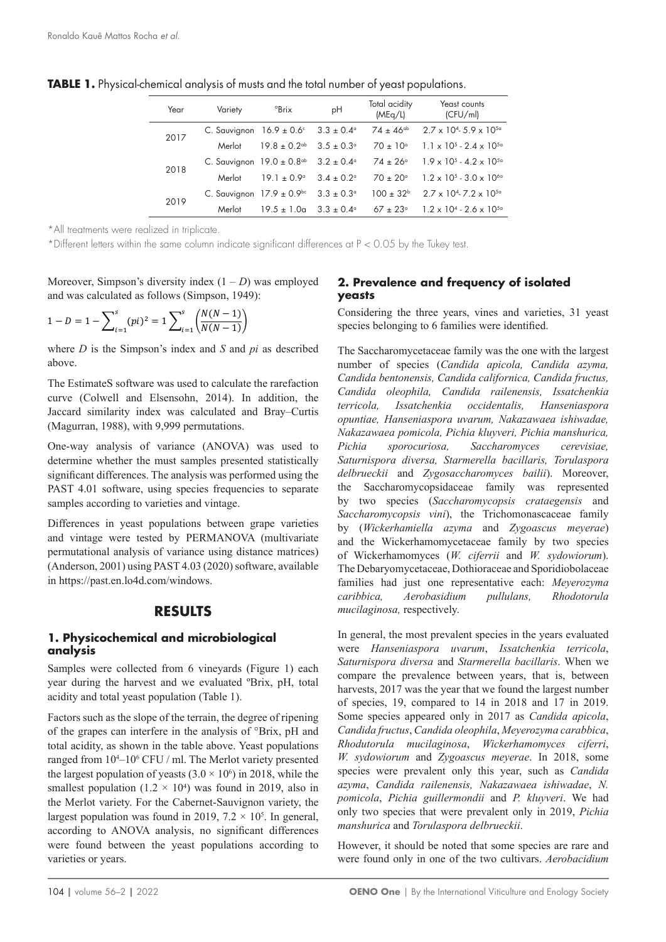| Year | Variety                                   | $\mathrm{PBrix}$                                                     | pH                         | Total acidity<br>(MEq/L) | Yeast counts<br>(CFU/ml)                 |
|------|-------------------------------------------|----------------------------------------------------------------------|----------------------------|--------------------------|------------------------------------------|
| 2017 |                                           | C. Sauvignon $16.9 \pm 0.6^{\circ}$ 3.3 $\pm 0.4^{\circ}$            |                            | $74 \pm 46^{\text{ab}}$  | $2.7 \times 10^{4}$ 5.9 $\times 10^{5}$  |
|      | Merlot                                    | $19.8 \pm 0.2$ <sup>ab</sup>                                         | $3.5 \pm 0.3$ <sup>o</sup> | $70 \pm 10^{\circ}$      | $1.1 \times 10^{5} - 2.4 \times 10^{5a}$ |
| 2018 |                                           | C. Sauvignon $19.0 \pm 0.8$ <sup>db</sup> $3.2 \pm 0.4$ <sup>d</sup> |                            | $74 \pm 26^{\circ}$      | $1.9 \times 10^{5} - 4.2 \times 10^{5a}$ |
|      | Merlot                                    | $191 + 0.9°$                                                         | $3.4 \pm 0.2$ <sup>o</sup> | $70 \pm 20^{\circ}$      | $1.2 \times 10^{5} - 3.0 \times 10^{60}$ |
| 2019 | C. Sauvignon $17.9 \pm 0.9$ <sup>bc</sup> |                                                                      | $3.3 \pm 0.3$ <sup>o</sup> | $100 \pm 32^{\circ}$     | $2.7 \times 10^{4}$ 7.2 $\times 10^{5}$  |
|      | Merlot                                    | $19.5 \pm 1.0a$                                                      | $3.3 \pm 0.4^{\circ}$      | $67 \pm 23^{\circ}$      | $1.2 \times 10^{4} - 2.6 \times 10^{5a}$ |

**TABLE 1.** Physical-chemical analysis of musts and the total number of yeast populations.

\*All treatments were realized in triplicate.

\*Different letters within the same column indicate significant differences at P < 0.05 by the Tukey test.

Moreover, Simpson's diversity index  $(1 – D)$  was employed and was calculated as follows (Simpson, 1949):

$$
1 - D = 1 - \sum_{i=1}^{s} (pi)^{2} = 1 \sum_{i=1}^{s} \left( \frac{N(N-1)}{N(N-1)} \right)
$$

where *D* is the Simpson's index and *S* and *pi* as described above.

The EstimateS software was used to calculate the rarefaction curve (Colwell and Elsensohn, 2014). In addition, the Jaccard similarity index was calculated and Bray–Curtis (Magurran, 1988), with 9,999 permutations.

One-way analysis of variance (ANOVA) was used to determine whether the must samples presented statistically significant differences. The analysis was performed using the PAST 4.01 software, using species frequencies to separate samples according to varieties and vintage.

Differences in yeast populations between grape varieties and vintage were tested by PERMANOVA (multivariate permutational analysis of variance using distance matrices) (Anderson, 2001) using PAST 4.03 (2020) software, available in <https://past.en.lo4d.com/windows>.

#### **RESULTS**

#### **1. Physicochemical and microbiological analysis**

Samples were collected from 6 vineyards (Figure 1) each year during the harvest and we evaluated ºBrix, pH, total acidity and total yeast population (Table 1).

Factors such as the slope of the terrain, the degree of ripening of the grapes can interfere in the analysis of °Brix, pH and total acidity, as shown in the table above. Yeast populations ranged from  $10<sup>4</sup>-10<sup>6</sup>$  CFU / ml. The Merlot variety presented the largest population of yeasts  $(3.0 \times 10^6)$  in 2018, while the smallest population  $(1.2 \times 10^4)$  was found in 2019, also in the Merlot variety. For the Cabernet-Sauvignon variety, the largest population was found in 2019,  $7.2 \times 10^5$ . In general, according to ANOVA analysis, no significant differences were found between the yeast populations according to varieties or years.

#### **2. Prevalence and frequency of isolated yeasts**

Considering the three years, vines and varieties, 31 yeast species belonging to 6 families were identified.

The Saccharomycetaceae family was the one with the largest number of species (*Candida apicola, Candida azyma, Candida bentonensis, Candida californica, Candida fructus, Candida oleophila, Candida railenensis, Issatchenkia terricola, Issatchenkia occidentalis, Hanseniaspora opuntiae, Hanseniaspora uvarum, Nakazawaea ishiwadae, Nakazawaea pomicola, Pichia kluyveri, Pichia manshurica, Pichia sporocuriosa, Saccharomyces cerevisiae, Saturnispora diversa, Starmerella bacillaris, Torulaspora delbrueckii* and *Zygosaccharomyces bailii*). Moreover, the Saccharomycopsidaceae family was represented by two species (*Saccharomycopsis crataegensis* and *Saccharomycopsis vini*), the Trichomonascaceae family by (*Wickerhamiella azyma* and *Zygoascus meyerae*) and the Wickerhamomycetaceae family by two species of Wickerhamomyces (*W. ciferrii* and *W. sydowiorum*). The Debaryomycetaceae, Dothioraceae and Sporidiobolaceae families had just one representative each: *Meyerozyma caribbica, Aerobasidium pullulans, Rhodotorula mucilaginosa,* respectively.

In general, the most prevalent species in the years evaluated were *Hanseniaspora uvarum*, *Issatchenkia terricola*, *Saturnispora diversa* and *Starmerella bacillaris*. When we compare the prevalence between years, that is, between harvests, 2017 was the year that we found the largest number of species, 19, compared to 14 in 2018 and 17 in 2019. Some species appeared only in 2017 as *Candida apicola*, *Candida fructus*, *Candida oleophila*, *Meyerozyma carabbica*, *Rhodutorula mucilaginosa*, *Wickerhamomyces ciferri*, *W. sydowiorum* and *Zygoascus meyerae*. In 2018, some species were prevalent only this year, such as *Candida azyma*, *Candida railenensis, Nakazawaea ishiwadae*, *N. pomicola*, *Pichia guillermondii* and *P. kluyveri*. We had only two species that were prevalent only in 2019, *Pichia manshurica* and *Torulaspora delbrueckii*.

However, it should be noted that some species are rare and were found only in one of the two cultivars. *Aerobacidium*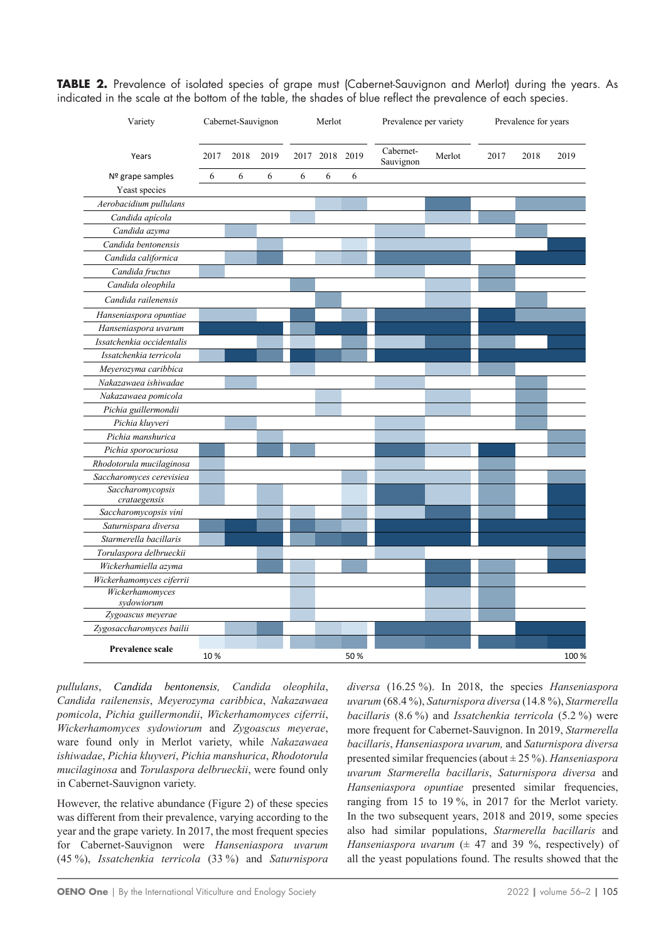**TABLE 2.** Prevalence of isolated species of grape must (Cabernet-Sauvignon and Merlot) during the years. As indicated in the scale at the bottom of the table, the shades of blue reflect the prevalence of each species.

| Variety                          | Cabernet-Sauvignon |      |      | Merlot |                | Prevalence per variety |                        | Prevalence for years |      |      |       |
|----------------------------------|--------------------|------|------|--------|----------------|------------------------|------------------------|----------------------|------|------|-------|
| Years                            | 2017               | 2018 | 2019 |        | 2017 2018 2019 |                        | Cabernet-<br>Sauvignon | Merlot               | 2017 | 2018 | 2019  |
| Nº grape samples                 | 6                  | 6    | 6    | 6      | 6              | 6                      |                        |                      |      |      |       |
| Yeast species                    |                    |      |      |        |                |                        |                        |                      |      |      |       |
| Aerobacidium pullulans           |                    |      |      |        |                |                        |                        |                      |      |      |       |
| Candida apícola                  |                    |      |      |        |                |                        |                        |                      |      |      |       |
| Candida azyma                    |                    |      |      |        |                |                        |                        |                      |      |      |       |
| Candida bentonensis              |                    |      |      |        |                |                        |                        |                      |      |      |       |
| Candida californica              |                    |      |      |        |                |                        |                        |                      |      |      |       |
| Candida fructus                  |                    |      |      |        |                |                        |                        |                      |      |      |       |
| Candida oleophila                |                    |      |      |        |                |                        |                        |                      |      |      |       |
| Candida railenensis              |                    |      |      |        |                |                        |                        |                      |      |      |       |
| Hanseniaspora opuntiae           |                    |      |      |        |                |                        |                        |                      |      |      |       |
| Hanseniaspora uvarum             |                    |      |      |        |                |                        |                        |                      |      |      |       |
| Issatchenkia occidentalis        |                    |      |      |        |                |                        |                        |                      |      |      |       |
| Issatchenkia terricola           |                    |      |      |        |                |                        |                        |                      |      |      |       |
| Meyerozyma caribbica             |                    |      |      |        |                |                        |                        |                      |      |      |       |
| Nakazawaea ishiwadae             |                    |      |      |        |                |                        |                        |                      |      |      |       |
| Nakazawaea pomicola              |                    |      |      |        |                |                        |                        |                      |      |      |       |
| Pichia guillermondii             |                    |      |      |        |                |                        |                        |                      |      |      |       |
| Pichia kluyveri                  |                    |      |      |        |                |                        |                        |                      |      |      |       |
| Pichia manshurica                |                    |      |      |        |                |                        |                        |                      |      |      |       |
| Pichia sporocuriosa              |                    |      |      |        |                |                        |                        |                      |      |      |       |
| Rhodotorula mucilaginosa         |                    |      |      |        |                |                        |                        |                      |      |      |       |
| Saccharomyces cerevisiea         |                    |      |      |        |                |                        |                        |                      |      |      |       |
| Saccharomycopsis<br>crataegensis |                    |      |      |        |                |                        |                        |                      |      |      |       |
| Saccharomycopsis vini            |                    |      |      |        |                |                        |                        |                      |      |      |       |
| Saturnispara diversa             |                    |      |      |        |                |                        |                        |                      |      |      |       |
| Starmerella bacillaris           |                    |      |      |        |                |                        |                        |                      |      |      |       |
| Torulaspora delbrueckii          |                    |      |      |        |                |                        |                        |                      |      |      |       |
| Wickerhamiella azyma             |                    |      |      |        |                |                        |                        |                      |      |      |       |
| Wickerhamomyces ciferrii         |                    |      |      |        |                |                        |                        |                      |      |      |       |
| Wickerhamomyces                  |                    |      |      |        |                |                        |                        |                      |      |      |       |
| sydowiorum                       |                    |      |      |        |                |                        |                        |                      |      |      |       |
| Zygoascus meyerae                |                    |      |      |        |                |                        |                        |                      |      |      |       |
| Zygosaccharomyces bailii         |                    |      |      |        |                |                        |                        |                      |      |      |       |
| <b>Prevalence scale</b>          | 10%                |      |      |        |                | 50%                    |                        |                      |      |      | 100 % |

*pullulans*, *Candida bentonensis, Candida oleophila*, *Candida railenensis*, *Meyerozyma caribbica*, *Nakazawaea pomicola*, *Pichia guillermondii*, *Wickerhamomyces ciferrii*, *Wickerhamomyces sydowiorum* and *Zygoascus meyerae*, ware found only in Merlot variety, while *Nakazawaea ishiwadae*, *Pichia kluyveri*, *Pichia manshurica*, *Rhodotorula mucilaginosa* and *Torulaspora delbrueckii*, were found only in Cabernet-Sauvignon variety.

However, the relative abundance (Figure 2) of these species was different from their prevalence, varying according to the year and the grape variety. In 2017, the most frequent species for Cabernet-Sauvignon were *Hanseniaspora uvarum* (45 %), *Issatchenkia terricola* (33 %) and *Saturnispora* *diversa* (16.25 %). In 2018, the species *Hanseniaspora uvarum* (68.4 %), *Saturnispora diversa* (14.8 %), *Starmerella bacillaris* (8.6 %) and *Issatchenkia terricola* (5.2 %) were more frequent for Cabernet-Sauvignon. In 2019, *Starmerella bacillaris*, *Hanseniaspora uvarum,* and *Saturnispora diversa* presented similar frequencies (about ± 25 %). *Hanseniaspora uvarum Starmerella bacillaris*, *Saturnispora diversa* and *Hanseniaspora opuntiae* presented similar frequencies, ranging from 15 to 19 %, in 2017 for the Merlot variety. In the two subsequent years, 2018 and 2019, some species also had similar populations, *Starmerella bacillaris* and *Hanseniaspora uvarum*  $(\pm 47$  and 39 %, respectively) of all the yeast populations found. The results showed that the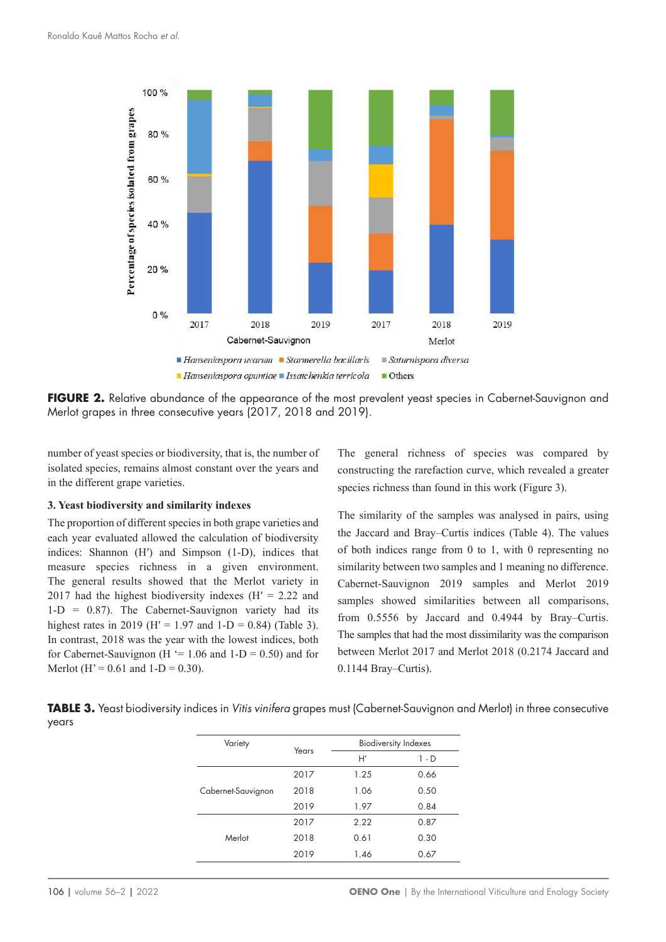

**FIGURE 2.** Relative abundance of the appearance of the most prevalent yeast species in Cabernet-Sauvignon and Merlot grapes in three consecutive years (2017, 2018 and 2019).

number of yeast species or biodiversity, that is, the number of isolated species, remains almost constant over the years and in the different grape varieties.

#### **3. Yeast biodiversity and similarity indexes**

The proportion of different species in both grape varieties and each year evaluated allowed the calculation of biodiversity indices: Shannon (H') and Simpson (1-D), indices that measure species richness in a given environment. The general results showed that the Merlot variety in 2017 had the highest biodiversity indexes  $(H' = 2.22$  and 1-D = 0.87). The Cabernet-Sauvignon variety had its highest rates in 2019 (H' = 1.97 and 1-D = 0.84) (Table 3). In contrast, 2018 was the year with the lowest indices, both for Cabernet-Sauvignon (H  $=$  1.06 and 1-D = 0.50) and for Merlot (H' =  $0.61$  and  $1-D = 0.30$ ).

The general richness of species was compared by constructing the rarefaction curve, which revealed a greater species richness than found in this work (Figure 3).

The similarity of the samples was analysed in pairs, using the Jaccard and Bray–Curtis indices (Table 4). The values of both indices range from 0 to 1, with 0 representing no similarity between two samples and 1 meaning no difference. Cabernet-Sauvignon 2019 samples and Merlot 2019 samples showed similarities between all comparisons, from 0.5556 by Jaccard and 0.4944 by Bray–Curtis. The samples that had the most dissimilarity was the comparison between Merlot 2017 and Merlot 2018 (0.2174 Jaccard and 0.1144 Bray–Curtis).

**TABLE 3.** Yeast biodiversity indices in *Vitis vinifera* grapes must (Cabernet-Sauvignon and Merlot) in three consecutive years

| Variety            | Years | <b>Biodiversity Indexes</b> |       |  |  |
|--------------------|-------|-----------------------------|-------|--|--|
|                    |       | H'                          | 1 - D |  |  |
|                    | 2017  | 1.25                        | 0.66  |  |  |
| Cabernet-Sauvignon | 2018  | 1.06                        | 0.50  |  |  |
|                    | 2019  | 1.97                        | 0.84  |  |  |
|                    | 2017  | 2.22                        | 0.87  |  |  |
| Merlot             | 2018  | 0.61                        | 0.30  |  |  |
|                    | 2019  | 1.46                        | 0.67  |  |  |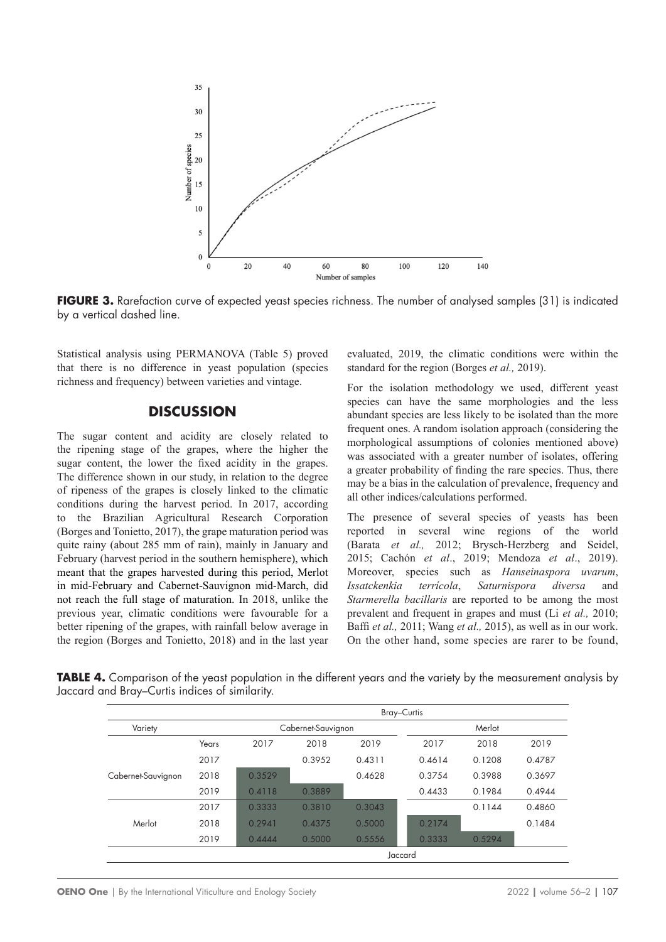

FIGURE 3. Rarefaction curve of expected yeast species richness. The number of analysed samples (31) is indicated by a vertical dashed line.

Statistical analysis using PERMANOVA (Table 5) proved that there is no difference in yeast population (species richness and frequency) between varieties and vintage.

#### **DISCUSSION**

The sugar content and acidity are closely related to the ripening stage of the grapes, where the higher the sugar content, the lower the fixed acidity in the grapes. The difference shown in our study, in relation to the degree of ripeness of the grapes is closely linked to the climatic conditions during the harvest period. In 2017, according to the Brazilian Agricultural Research Corporation (Borges and Tonietto, 2017), the grape maturation period was quite rainy (about 285 mm of rain), mainly in January and February (harvest period in the southern hemisphere), which meant that the grapes harvested during this period, Merlot in mid-February and Cabernet-Sauvignon mid-March, did not reach the full stage of maturation. In 2018, unlike the previous year, climatic conditions were favourable for a better ripening of the grapes, with rainfall below average in the region (Borges and Tonietto, 2018) and in the last year evaluated, 2019, the climatic conditions were within the standard for the region (Borges *et al.,* 2019).

For the isolation methodology we used, different yeast species can have the same morphologies and the less abundant species are less likely to be isolated than the more frequent ones. A random isolation approach (considering the morphological assumptions of colonies mentioned above) was associated with a greater number of isolates, offering a greater probability of finding the rare species. Thus, there may be a bias in the calculation of prevalence, frequency and all other indices/calculations performed.

The presence of several species of yeasts has been reported in several wine regions of the world (Barata et al., 2012; Brysch-Herzberg and Seidel, 2015; Cachón *et al*., 2019; Mendoza *et al*., 2019). Moreover, species such as *Hanseinaspora uvarum*, *Issatckenkia terrícola*, *Saturnispora diversa* and *Starmerella bacillaris* are reported to be among the most prevalent and frequent in grapes and must (Li *et al.,* 2010; Baffi *et al.,* 2011; Wang *et al.,* 2015), as well as in our work. On the other hand, some species are rarer to be found,

**TABLE 4.** Comparison of the yeast population in the different years and the variety by the measurement analysis by Jaccard and Bray–Curtis indices of similarity.

|                    |         | <b>Bray-Curtis</b> |                    |        |        |        |        |  |
|--------------------|---------|--------------------|--------------------|--------|--------|--------|--------|--|
| Variety            |         |                    | Cabernet-Sauvignon | Merlot |        |        |        |  |
|                    | Years   | 2017               | 2018               | 2019   | 2017   | 2018   | 2019   |  |
|                    | 2017    |                    | 0.3952             | 0.4311 | 0.4614 | 0.1208 | 0.4787 |  |
| Cabernet-Sauvignon | 2018    | 0.3529             |                    | 0.4628 | 0.3754 | 0.3988 | 0.3697 |  |
|                    | 2019    | 0.4118             | 0.3889             |        | 0.4433 | 0.1984 | 0.4944 |  |
|                    | 2017    | 0.3333             | 0.3810             | 0.3043 |        | 0.1144 | 0.4860 |  |
| Merlot             | 2018    | 0.2941             | 0.4375             | 0.5000 | 0.2174 |        | 0.1484 |  |
|                    | 2019    | 0.4444             | 0.5000             | 0.5556 | 0.3333 | 0.5294 |        |  |
|                    | Jaccard |                    |                    |        |        |        |        |  |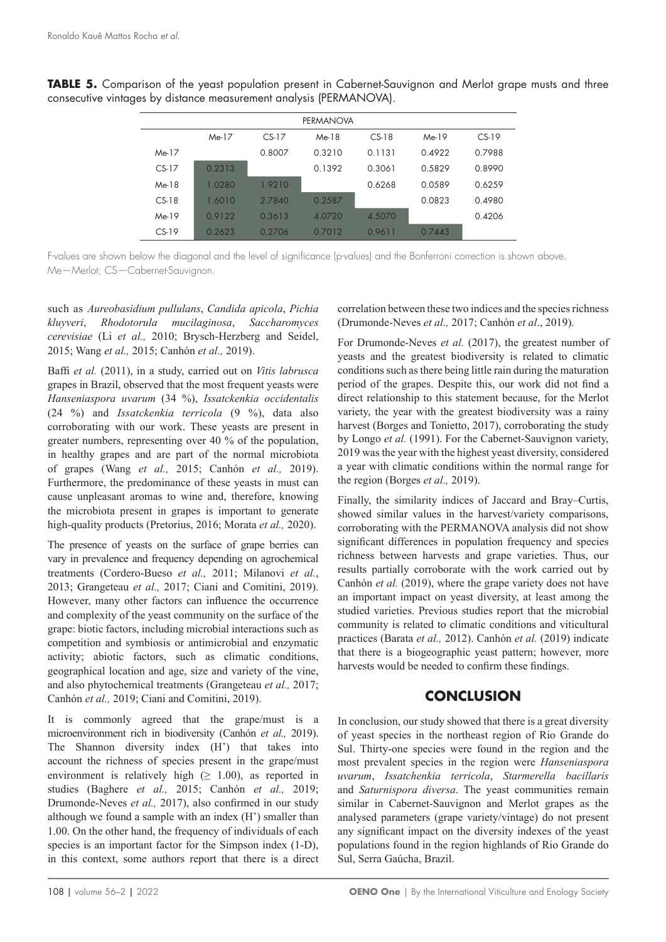**TABLE 5.** Comparison of the yeast population present in Cabernet-Sauvignon and Merlot grape musts and three consecutive vintages by distance measurement analysis (PERMANOVA).

| <b>PERMANOVA</b> |        |         |         |         |        |         |  |  |  |
|------------------|--------|---------|---------|---------|--------|---------|--|--|--|
|                  | Me-17  | $CS-17$ | $Me-18$ | $CS-18$ | Me-19  | $CS-19$ |  |  |  |
| $Me-17$          |        | 0.8007  | 0.3210  | 0.1131  | 0.4922 | 0.7988  |  |  |  |
| $CS-17$          | 0.2313 |         | 0.1392  | 0.3061  | 0.5829 | 0.8990  |  |  |  |
| $Me-18$          | 1.0280 | 1.9210  |         | 0.6268  | 0.0589 | 0.6259  |  |  |  |
| $CS-18$          | 1.6010 | 27840   | 0.2587  |         | 0.0823 | 0.4980  |  |  |  |
| Me-19            | 0.9122 | 0.3613  | 4.0720  | 4.5070  |        | 0.4206  |  |  |  |
| $CS-19$          | 0.2623 | 0.2706  | 0.7012  | 0.9611  | 0.7443 |         |  |  |  |

F-values are shown below the diagonal and the level of significance (p-values) and the Bonferroni correction is shown above. Me—Merlot; CS—Cabernet-Sauvignon.

such as *Aureobasidium pullulans*, *Candida apicola*, *Pichia kluyveri*, *Rhodotorula mucilaginosa*, *Saccharomyces cerevisiae* (Li *et al.,* 2010; Brysch-Herzberg and Seidel, 2015; Wang *et al.,* 2015; Canhón *et al.,* 2019).

Baffi *et al.* (2011), in a study, carried out on *Vitis labrusca* grapes in Brazil, observed that the most frequent yeasts were *Hanseniaspora uvarum* (34 %), *Issatckenkia occidentalis* (24 %) and *Issatckenkia terricola* (9 %), data also corroborating with our work. These yeasts are present in greater numbers, representing over 40 % of the population, in healthy grapes and are part of the normal microbiota of grapes (Wang *et al.,* 2015; Canhón *et al.,* 2019). Furthermore, the predominance of these yeasts in must can cause unpleasant aromas to wine and, therefore, knowing the microbiota present in grapes is important to generate high-quality products (Pretorius, 2016; Morata *et al.,* 2020).

The presence of yeasts on the surface of grape berries can vary in prevalence and frequency depending on agrochemical treatments (Cordero-Bueso *et al.,* 2011; Milanovi *et al.*, 2013; Grangeteau *et al.,* 2017; Ciani and Comitini, 2019). However, many other factors can influence the occurrence and complexity of the yeast community on the surface of the grape: biotic factors, including microbial interactions such as competition and symbiosis or antimicrobial and enzymatic activity; abiotic factors, such as climatic conditions, geographical location and age, size and variety of the vine, and also phytochemical treatments (Grangeteau *et al.,* 2017; Canhón *et al.,* 2019; Ciani and Comitini, 2019).

It is commonly agreed that the grape/must is a microenvironment rich in biodiversity (Canhón *et al.,* 2019). The Shannon diversity index (H') that takes into account the richness of species present in the grape/must environment is relatively high ( $\geq 1.00$ ), as reported in studies (Baghere *et al.,* 2015; Canhón *et al.,* 2019; Drumonde‑Neves *et al.,* 2017), also confirmed in our study although we found a sample with an index (H') smaller than 1.00. On the other hand, the frequency of individuals of each species is an important factor for the Simpson index (1-D), in this context, some authors report that there is a direct correlation between these two indices and the species richness (Drumonde-Neves *et al.,* 2017; Canhón *et al*., 2019).

For Drumonde-Neves *et al.* (2017), the greatest number of yeasts and the greatest biodiversity is related to climatic conditions such as there being little rain during the maturation period of the grapes. Despite this, our work did not find a direct relationship to this statement because, for the Merlot variety, the year with the greatest biodiversity was a rainy harvest (Borges and Tonietto, 2017), corroborating the study by Longo *et al.* (1991). For the Cabernet-Sauvignon variety, 2019 was the year with the highest yeast diversity, considered a year with climatic conditions within the normal range for the region (Borges *et al.,* 2019).

Finally, the similarity indices of Jaccard and Bray–Curtis, showed similar values in the harvest/variety comparisons, corroborating with the PERMANOVA analysis did not show significant differences in population frequency and species richness between harvests and grape varieties. Thus, our results partially corroborate with the work carried out by Canhón *et al.* (2019), where the grape variety does not have an important impact on yeast diversity, at least among the studied varieties. Previous studies report that the microbial community is related to climatic conditions and viticultural practices (Barata *et al.,* 2012). Canhón *et al.* (2019) indicate that there is a biogeographic yeast pattern; however, more harvests would be needed to confirm these findings.

### **CONCLUSION**

In conclusion, our study showed that there is a great diversity of yeast species in the northeast region of Rio Grande do Sul. Thirty-one species were found in the region and the most prevalent species in the region were *Hanseniaspora uvarum*, *Issatchenkia terricola*, *Starmerella bacillaris* and *Saturnispora diversa*. The yeast communities remain similar in Cabernet-Sauvignon and Merlot grapes as the analysed parameters (grape variety/vintage) do not present any significant impact on the diversity indexes of the yeast populations found in the region highlands of Rio Grande do Sul, Serra Gaúcha, Brazil.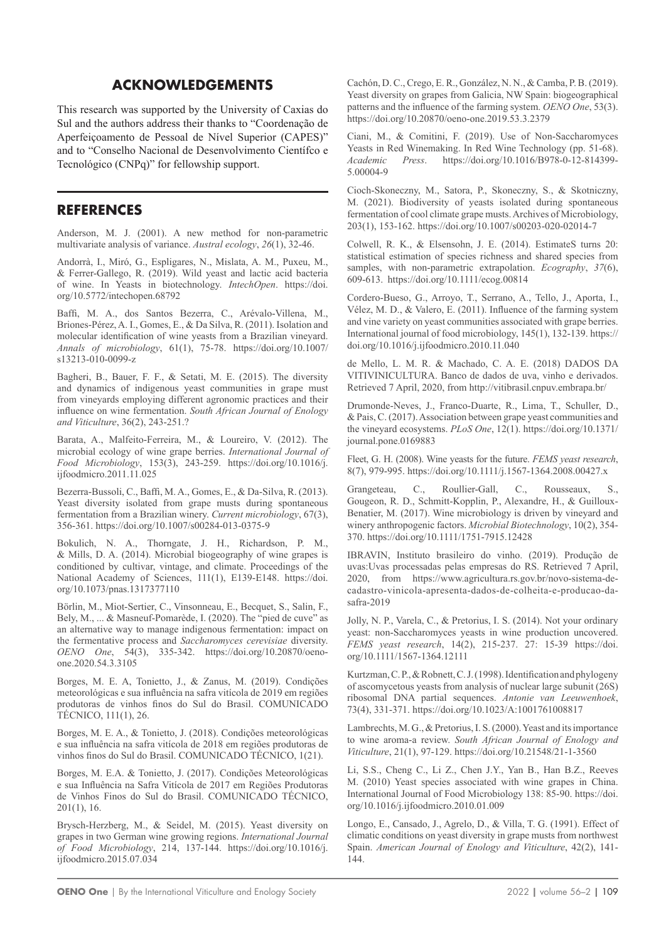## **ACKNOWLEDGEMENTS**

This research was supported by the University of Caxias do Sul and the authors address their thanks to "Coordenação de Aperfeiçoamento de Pessoal de Nível Superior (CAPES)" and to "Conselho Nacional de Desenvolvimento Científco e Tecnológico (CNPq)" for fellowship support.

### **REFERENCES**

Anderson, M. J. (2001). A new method for non-parametric multivariate analysis of variance. *Austral ecology*, *26*(1), 32-46.

Andorrà, I., Miró, G., Espligares, N., Mislata, A. M., Puxeu, M., & Ferrer-Gallego, R. (2019). Wild yeast and lactic acid bacteria of wine. In Yeasts in biotechnology. *IntechOpen*. https://doi. org/10.5772/intechopen.68792

Baffi, M. A., dos Santos Bezerra, C., Arévalo-Villena, M., Briones‑Pérez, A. I., Gomes, E., & Da Silva, R. (2011). Isolation and molecular identification of wine yeasts from a Brazilian vineyard. *Annals of microbiology*, 61(1), 75-78. [https://doi.org/10.1007/](https://doi.org/10.1007/s13213-010-0099-z) [s13213-010-0099-z](https://doi.org/10.1007/s13213-010-0099-z)

Bagheri, B., Bauer, F. F., & Setati, M. E. (2015). The diversity and dynamics of indigenous yeast communities in grape must from vineyards employing different agronomic practices and their influence on wine fermentation. *South African Journal of Enology and Viticulture*, 36(2), 243-251.?

Barata, A., Malfeito-Ferreira, M., & Loureiro, V. (2012). The microbial ecology of wine grape berries. *International Journal of Food Microbiology*, 153(3), 243-259. [https://doi.org/10.1016/j.](https://doi.org/10.1016/j.ijfoodmicro.2011.11.025) [ijfoodmicro.2011.11.025](https://doi.org/10.1016/j.ijfoodmicro.2011.11.025)

Bezerra-Bussoli, C., Baffi, M. A., Gomes, E., & Da-Silva, R. (2013). Yeast diversity isolated from grape musts during spontaneous fermentation from a Brazilian winery. *Current microbiology*, 67(3), 356-361. https://doi.org/10.1007/s00284-013-0375-9

Bokulich, N. A., Thorngate, J. H., Richardson, P. M., & Mills, D. A. (2014). Microbial biogeography of wine grapes is conditioned by cultivar, vintage, and climate. Proceedings of the National Academy of Sciences, 111(1), E139-E148. [https://doi.](https://doi.org/10.1073/pnas.1317377110) [org/10.1073/pnas.1317377110](https://doi.org/10.1073/pnas.1317377110)

Börlin, M., Miot-Sertier, C., Vinsonneau, E., Becquet, S., Salin, F., Bely, M., ... & Masneuf-Pomarède, I. (2020). The "pied de cuve" as an alternative way to manage indigenous fermentation: impact on the fermentative process and *Saccharomyces cerevisiae* diversity. *OENO One*, 54(3), 335-342. https://doi.org/10.20870/oenoone.2020.54.3.3105

Borges, M. E. A, Tonietto, J., & Zanus, M. (2019). Condições meteorológicas e sua influência na safra vitícola de 2019 em regiões produtoras de vinhos finos do Sul do Brasil. COMUNICADO TÉCNICO, 111(1), 26.

Borges, M. E. A., & Tonietto, J. (2018). Condições meteorológicas e sua influência na safra vitícola de 2018 em regiões produtoras de vinhos finos do Sul do Brasil. COMUNICADO TÉCNICO, 1(21).

Borges, M. E.A. & Tonietto, J. (2017). Condições Meteorológicas e sua Influência na Safra Vitícola de 2017 em Regiões Produtoras de Vinhos Finos do Sul do Brasil. COMUNICADO TÉCNICO, 201(1), 16.

Brysch-Herzberg, M., & Seidel, M. (2015). Yeast diversity on grapes in two German wine growing regions. *International Journal of Food Microbiology*, 214, 137-144. [https://doi.org/10.1016/j.](https://doi.org/10.1016/j.ijfoodmicro.2015.07.034) [ijfoodmicro.2015.07.034](https://doi.org/10.1016/j.ijfoodmicro.2015.07.034)

Cachón, D. C., Crego, E. R., González, N. N., & Camba, P. B. (2019). Yeast diversity on grapes from Galicia, NW Spain: biogeographical patterns and the influence of the farming system. *OENO One*, 53(3). <https://doi.org/10.20870/oeno-one.2019.53.3.2379>

Ciani, M., & Comitini, F. (2019). Use of Non-Saccharomyces Yeasts in Red Winemaking. In Red Wine Technology (pp. 51‑68). *Academic Press*. [https://doi.org/10.1016/B978-0-12-814399-](https://doi.org/10.1016/B978-0-12-814399-5.00004-9) [5.00004-9](https://doi.org/10.1016/B978-0-12-814399-5.00004-9)

Cioch-Skoneczny, M., Satora, P., Skoneczny, S., & Skotniczny, M. (2021). Biodiversity of yeasts isolated during spontaneous fermentation of cool climate grape musts. Archives of Microbiology, 203(1), 153-162.<https://doi.org/10.1007/s00203-020-02014-7>

Colwell, R. K., & Elsensohn, J. E. (2014). EstimateS turns 20: statistical estimation of species richness and shared species from samples, with non-parametric extrapolation. *Ecography*, *37*(6), 609-613. <https://doi.org/10.1111/ecog.00814>

Cordero-Bueso, G., Arroyo, T., Serrano, A., Tello, J., Aporta, I., Vélez, M. D., & Valero, E. (2011). Influence of the farming system and vine variety on yeast communities associated with grape berries. International journal of food microbiology, 145(1), 132-139. https:// doi.org/10.1016/j.ijfoodmicro.2010.11.040

de Mello, L. M. R. & Machado, C. A. E. (2018) DADOS DA VITIVINICULTURA. Banco de dados de uva, vinho e derivados. Retrieved 7 April, 2020, from <http://vitibrasil.cnpuv.embrapa.br/>

Drumonde-Neves, J., Franco-Duarte, R., Lima, T., Schuller, D., & Pais, C. (2017). Association between grape yeast communities and the vineyard ecosystems. *PLoS One*, 12(1). https://doi.org/10.1371/ journal.pone.0169883

Fleet, G. H. (2008). Wine yeasts for the future. *FEMS yeast research*, 8(7), 979-995. https://doi.org/10.1111/j.1567-1364.2008.00427.x

Grangeteau, C., Roullier-Gall, C., Rousseaux, S., Gougeon, R. D., Schmitt-Kopplin, P., Alexandre, H., & Guilloux-Benatier, M. (2017). Wine microbiology is driven by vineyard and winery anthropogenic factors. *Microbial Biotechnology*, 10(2), 354- 370. <https://doi.org/10.1111/1751-7915.12428>

IBRAVIN, Instituto brasileiro do vinho. (2019). Produção de uvas:Uvas processadas pelas empresas do RS. Retrieved 7 April, 2020, from [https://www.agricultura.rs.gov.br/novo-sistema-de](https://www.agricultura.rs.gov.br/novo-sistema-de-cadastro-vinicola-apresenta-dados-de-colheita-e-producao-da-safra-2019)[cadastro-vinicola-apresenta-dados-de-colheita-e-producao-da](https://www.agricultura.rs.gov.br/novo-sistema-de-cadastro-vinicola-apresenta-dados-de-colheita-e-producao-da-safra-2019)[safra-2019](https://www.agricultura.rs.gov.br/novo-sistema-de-cadastro-vinicola-apresenta-dados-de-colheita-e-producao-da-safra-2019)

Jolly, N. P., Varela, C., & Pretorius, I. S. (2014). Not your ordinary yeast: non-Saccharomyces yeasts in wine production uncovered. *FEMS yeast research*, 14(2), 215-237. 27: 15-39 [https://doi.](https://doi.org/10.1111/1567-1364.12111) [org/10.1111/1567-1364.12111](https://doi.org/10.1111/1567-1364.12111)

Kurtzman, C. P., & Robnett, C. J. (1998). Identification and phylogeny of ascomycetous yeasts from analysis of nuclear large subunit (26S) ribosomal DNA partial sequences. *Antonie van Leeuwenhoek*, 73(4), 331-371. <https://doi.org/10.1023/A:1001761008817>

Lambrechts, M. G., & Pretorius, I. S. (2000). Yeast and its importance to wine aroma-a review. *South African Journal of Enology and Viticulture*, 21(1), 97-129. https://doi.org/10.21548/21-1-3560

Li, S.S., Cheng C., Li Z., Chen J.Y., Yan B., Han B.Z., Reeves M. (2010) Yeast species associated with wine grapes in China. International Journal of Food Microbiology 138: 85-90. https://doi. org/10.1016/j.ijfoodmicro.2010.01.009

Longo, E., Cansado, J., Agrelo, D., & Villa, T. G. (1991). Effect of climatic conditions on yeast diversity in grape musts from northwest Spain. *American Journal of Enology and Viticulture*, 42(2), 141- 144.